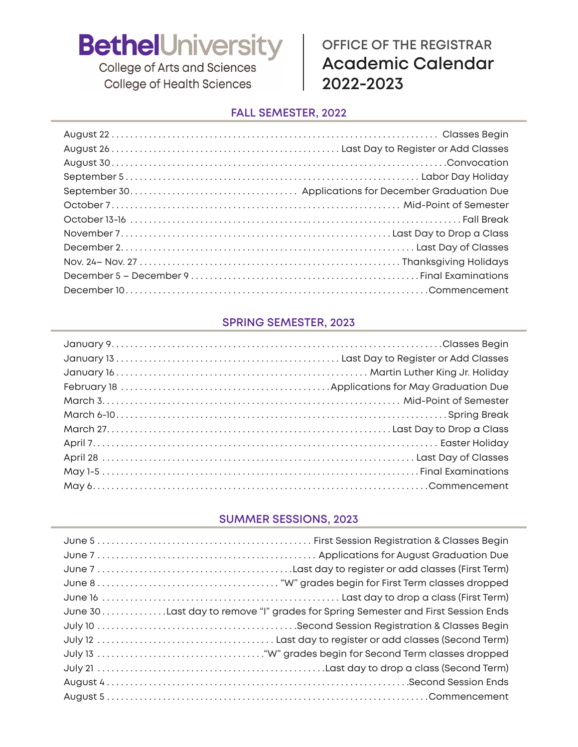College of Arts and Sciences **College of Health Sciences** 

### **OFFICE OF THE REGISTRAR Academic Calendar 2022-2023**

#### **FALL SEMESTER, 2022**

### **SPRING SEMESTER, 2023**

#### **SUMMER SESSIONS, 2023**

| June 30Last day to remove "I" grades for Spring Semester and First Session Ends |
|---------------------------------------------------------------------------------|
|                                                                                 |
|                                                                                 |
|                                                                                 |
|                                                                                 |
|                                                                                 |
|                                                                                 |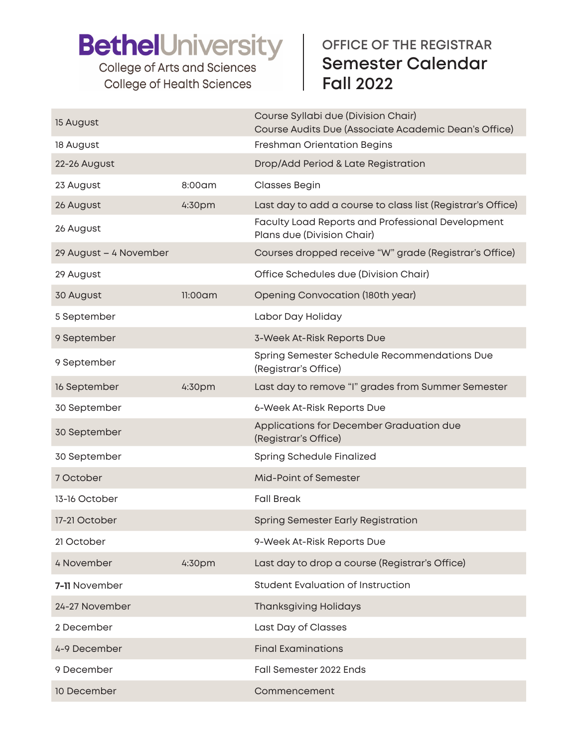College of Arts and Sciences **College of Health Sciences** 

## **OFFICE OF THE REGISTRAR Semester Calendar Fall 2022**

| 15 August              |            | Course Syllabi due (Division Chair)<br>Course Audits Due (Associate Academic Dean's Office) |
|------------------------|------------|---------------------------------------------------------------------------------------------|
| 18 August              |            | Freshman Orientation Begins                                                                 |
| 22-26 August           |            | Drop/Add Period & Late Registration                                                         |
| 23 August              | 8:00am     | <b>Classes Begin</b>                                                                        |
| 26 August              | 4:30pm     | Last day to add a course to class list (Registrar's Office)                                 |
| 26 August              |            | Faculty Load Reports and Professional Development<br>Plans due (Division Chair)             |
| 29 August - 4 November |            | Courses dropped receive "W" grade (Registrar's Office)                                      |
| 29 August              |            | Office Schedules due (Division Chair)                                                       |
| 30 August              | $11:00$ am | Opening Convocation (180th year)                                                            |
| 5 September            |            | Labor Day Holiday                                                                           |
| 9 September            |            | 3-Week At-Risk Reports Due                                                                  |
| 9 September            |            | Spring Semester Schedule Recommendations Due<br>(Registrar's Office)                        |
| 16 September           | 4:30pm     | Last day to remove "I" grades from Summer Semester                                          |
| 30 September           |            | 6-Week At-Risk Reports Due                                                                  |
| 30 September           |            | Applications for December Graduation due<br>(Registrar's Office)                            |
| 30 September           |            | Spring Schedule Finalized                                                                   |
| 7 October              |            | Mid-Point of Semester                                                                       |
| 13-16 October          |            | <b>Fall Break</b>                                                                           |
| 17-21 October          |            | <b>Spring Semester Early Registration</b>                                                   |
| 21 October             |            | 9-Week At-Risk Reports Due                                                                  |
| 4 November             | 4:30pm     | Last day to drop a course (Registrar's Office)                                              |
| 7-11 November          |            | Student Evaluation of Instruction                                                           |
| 24-27 November         |            | <b>Thanksgiving Holidays</b>                                                                |
| 2 December             |            | Last Day of Classes                                                                         |
| 4-9 December           |            | <b>Final Examinations</b>                                                                   |
| 9 December             |            | Fall Semester 2022 Ends                                                                     |
| 10 December            |            | Commencement                                                                                |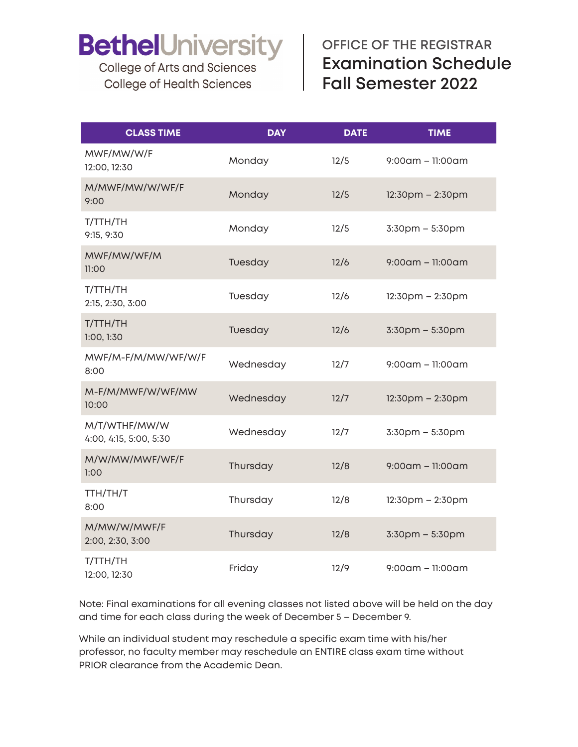**College of Arts and Sciences College of Health Sciences** 

## **OFFICE OF THE REGISTRAR Examination Schedule Fall Semester 2022**

| <b>CLASS TIME</b>                       | <b>DAY</b> | <b>DATE</b> | <b>TIME</b>            |
|-----------------------------------------|------------|-------------|------------------------|
| MWF/MW/W/F<br>12:00, 12:30              | Monday     | 12/5        | $9:00$ am - 11:00am    |
| M/MWF/MW/W/WF/F<br>9:00                 | Monday     | 12/5        | $12:30$ pm – $2:30$ pm |
| T/TTH/TH<br>9:15, 9:30                  | Monday     | 12/5        | $3:30$ pm $-5:30$ pm   |
| MWF/MW/WF/M<br>11:00                    | Tuesday    | 12/6        | $9:00$ am - 11:00am    |
| T/TTH/TH<br>2:15, 2:30, 3:00            | Tuesday    | 12/6        | $12:30$ pm $- 2:30$ pm |
| T/TTH/TH<br>1:00, 1:30                  | Tuesday    | 12/6        | 3:30pm - 5:30pm        |
| MWF/M-F/M/MW/WF/W/F<br>8:00             | Wednesday  | 12/7        | $9:00$ am – 11:00am    |
| M-F/M/MWF/W/WF/MW<br>10:00              | Wednesday  | 12/7        | $12:30$ pm – $2:30$ pm |
| M/T/WTHF/MW/W<br>4:00, 4:15, 5:00, 5:30 | Wednesday  | 12/7        | 3:30pm - 5:30pm        |
| M/W/MW/MWF/WF/F<br>1:00                 | Thursday   | 12/8        | $9:00$ am - 11:00am    |
| TTH/TH/T<br>8:00                        | Thursday   | 12/8        | $12:30$ pm – 2:30pm    |
| M/MW/W/MWF/F<br>2:00, 2:30, 3:00        | Thursday   | 12/8        | 3:30pm - 5:30pm        |
| T/TTH/TH<br>12:00, 12:30                | Friday     | 12/9        | $9:00$ am – 11:00am    |

Note: Final examinations for all evening classes not listed above will be held on the day and time for each class during the week of December 5 – December 9.

While an individual student may reschedule a specific exam time with his/her professor, no faculty member may reschedule an ENTIRE class exam time without PRIOR clearance from the Academic Dean.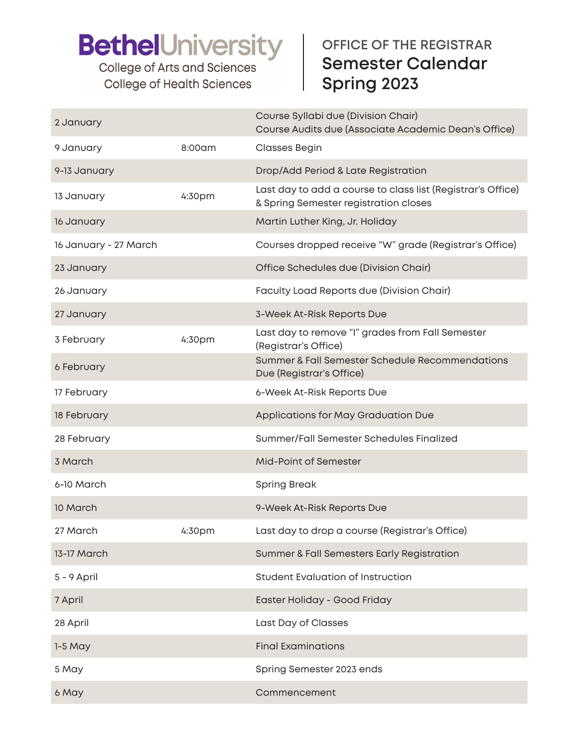College of Arts and Sciences **College of Health Sciences** 

## **OFFICE OF THE REGISTRAR Semester Calendar Spring 2023**

| 2 January             |                    | Course Syllabi due (Division Chair)<br>Course Audits due (Associate Academic Dean's Office)          |
|-----------------------|--------------------|------------------------------------------------------------------------------------------------------|
| 9 January             | 8:00am             | <b>Classes Begin</b>                                                                                 |
| 9-13 January          |                    | Drop/Add Period & Late Registration                                                                  |
| 13 January            | 4:30pm             | Last day to add a course to class list (Registrar's Office)<br>& Spring Semester registration closes |
| 16 January            |                    | Martin Luther King, Jr. Holiday                                                                      |
| 16 January - 27 March |                    | Courses dropped receive "W" grade (Registrar's Office)                                               |
| 23 January            |                    | Office Schedules due (Division Chair)                                                                |
| 26 January            |                    | Faculty Load Reports due (Division Chair)                                                            |
| 27 January            |                    | 3-Week At-Risk Reports Due                                                                           |
| 3 February            | 4:30pm             | Last day to remove "I" grades from Fall Semester<br>(Registrar's Office)                             |
| 6 February            |                    | Summer & Fall Semester Schedule Recommendations<br>Due (Registrar's Office)                          |
| 17 February           |                    | 6-Week At-Risk Reports Due                                                                           |
| 18 February           |                    | Applications for May Graduation Due                                                                  |
| 28 February           |                    | Summer/Fall Semester Schedules Finalized                                                             |
| 3 March               |                    | <b>Mid-Point of Semester</b>                                                                         |
| 6-10 March            |                    | <b>Spring Break</b>                                                                                  |
| 10 March              |                    | 9-Week At-Risk Reports Due                                                                           |
| 27 March              | 4:30 <sub>pm</sub> | Last day to drop a course (Registrar's Office)                                                       |
| 13-17 March           |                    | Summer & Fall Semesters Early Registration                                                           |
| 5 - 9 April           |                    | <b>Student Evaluation of Instruction</b>                                                             |
| 7 April               |                    | Easter Holiday - Good Friday                                                                         |
| 28 April              |                    | Last Day of Classes                                                                                  |
| $1-5$ May             |                    | <b>Final Examinations</b>                                                                            |
| 5 May                 |                    | Spring Semester 2023 ends                                                                            |
| 6 May                 |                    | Commencement                                                                                         |